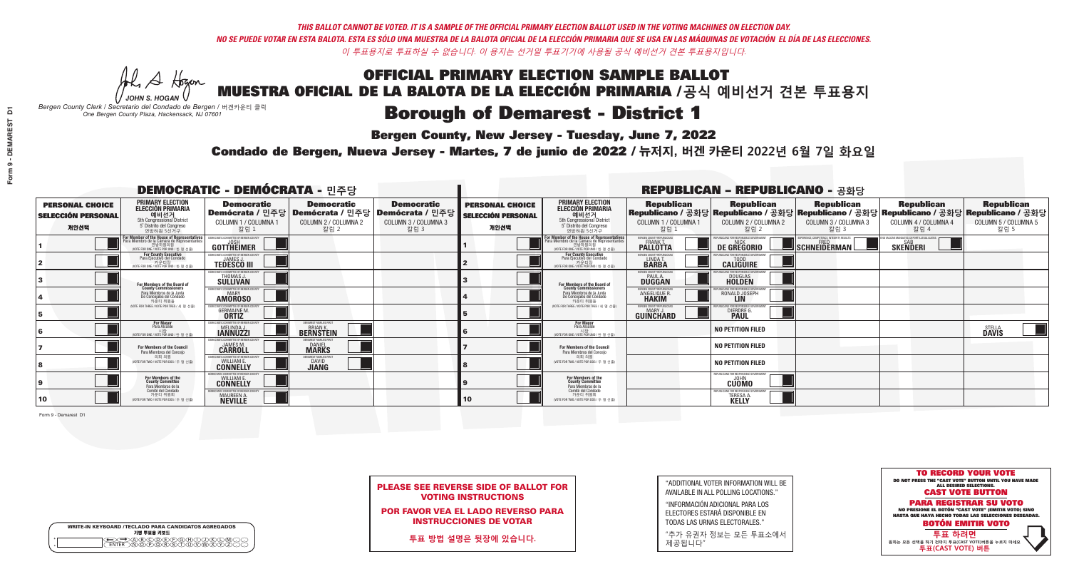A Hogan *JOHN S. HOGAN*

| <b>WRITE-IN KEYBOARD /TECLADO PARA CANDIDATOS AGREGADOS</b><br>기명 투표용 키보드 |
|---------------------------------------------------------------------------|
| DABODE/F)G/F/D.<br>ስ <u>ቅ</u> ለሽ እንች ሽ                                    |

# OFFICIAL PRIMARY ELECTION SAMPLE BALLOT MUESTRA OFICIAL DE LA BALOTA DE LA ELECCIÓN PRIMARIA /**공식 예비선거 견본 투표용지**

### **Borough of Demarest - District 1**

**Bergen County, New Jersey - Tuesday, June 7, 2022** 

*Bergen County Clerk / Secretario del Condado de Bergen /* 버겐카운티 클럭 *One Bergen County Plaza, Hackensack, NJ 07601*



PLEASE SEE REVERSE SIDE OF BALLOT FOR VOTING INSTRUCTIONS

POR FAVOR VEA EL LADO REVERSO PARA INSTRUCCIONES DE VOTAR

**투표 방법 설명은 뒷장에 있습니다.**

| "ADDITIONAL VOTER INFORMATION WILL BE |
|---------------------------------------|
| AVAILABLE IN ALL POLLING LOCATIONS."  |

"INFORMACIÓN ADICIONAL PARA LOS ELECTORES ESTARÁ DISPONIBLE EN TODAS LAS URNAS ELECTORALES."

"추가 유권자 정보는 모든 투표소에서 제공됩니다"

Condado de Bergen, Nueva Jersey - Martes, 7 de junio de 2022 / 뉴저지, 버겐 카운티 2022년 6월 7일 화요일 *One Bergen County Plaza, Hackensack, NJ 07601*

Form 9 - Demarest D1

| <b>DEMOCRATIC - DEMÓCRATA - 민주당</b>                         |                                                                                                                                               |                                                                      |                                                                                       |                                                                      |                                                             |                                                                                                                                              |                                                                | <b>REPUBLICAN - REPUBLICANO - 공화당</b>                                  |                                                                                                                                                |                                                   |                                                   |
|-------------------------------------------------------------|-----------------------------------------------------------------------------------------------------------------------------------------------|----------------------------------------------------------------------|---------------------------------------------------------------------------------------|----------------------------------------------------------------------|-------------------------------------------------------------|----------------------------------------------------------------------------------------------------------------------------------------------|----------------------------------------------------------------|------------------------------------------------------------------------|------------------------------------------------------------------------------------------------------------------------------------------------|---------------------------------------------------|---------------------------------------------------|
| <b>PERSONAL CHOICE</b><br><b>SELECCIÓN PERSONAL</b><br>개인선택 | <b>PRIMARY ELECTION</b><br>ELECCIÓN PRIMARIA<br>5th Congressional District<br>5° Distrito del Congreso<br>연방하원 5선거구                           | <b>Democratic</b><br>COLUMN 1 / COLUMNA 1<br>칼럼 1                    | <b>Democratic</b><br>│Demócrata / 민주당│Demócrata / 민주당<br>COLUMN 2 / COLUMNA 2<br>칼럼 2 | <b>Democratic</b><br>Demócrata / 민주당<br>COLUMN 3 / COLUMNA 3<br>칼럼 3 | <b>PERSONAL CHOICE</b><br><b>SELECCIÓN PERSONAL</b><br>개인선택 | <b>PRIMARY ELECTION</b><br><b>ELECCIÓN PRIMARIA</b><br>예비선거<br>5th Congressional District<br>5° Distrito del Congreso<br>연방하원 5선거구           | <b>Republican</b><br>COLUMN 1 / COLUMNA 1<br>칼럼 1              | <b>Republican</b><br>COLUMN 2 / COLUMNA 2<br>칼럼 2                      | <b>Republican</b><br>Republicano / 공화당 Republicano / 공화당 Republicano / 공화당 Republicano / 공화당 Republicano / 공화당<br>COLUMN 3 / COLUMNA 3<br>칼럼 3 | <b>Republican</b><br>COLUMN 4 / COLUMNA 4<br>칼럼 4 | <b>Republican</b><br>COLUMN 5 / COLUMNA 5<br>칼럼 5 |
|                                                             | For Member of the House of Representatives<br>Para Miembro de la Cámara de Representantes<br>연방하원의원<br>(VOTE FOR ONE / VOTE POR UNO / 한 명 선출) | EMOCRATIC COMMITTEE OF BERGEN COUN'<br><b>GOTTHEIMER</b>             |                                                                                       |                                                                      |                                                             | For Member of the House of Representatives<br>Para Miembro de la Cámara de Representantes<br>연방하원의원<br>(VOTE FOR ONE / VOTE POR UNO / 한 명 선출 | ERGEN COUNTY REPUBLICANS<br><b>PALLOTTA</b>                    | DE GREGORIO                                                            | SCHNEIDERMAN                                                                                                                                   | <b>SKENDERI</b>                                   |                                                   |
|                                                             | <b>For County Executive</b><br>Para Ejecutivo del Condado<br>WOTE FOR ONE / VOTE POR UNO / 한 명 선출)                                            | EMOCRATIC COMMITTEE OF BERGEN COUNTY<br><b>TEDESCO III</b>           |                                                                                       |                                                                      |                                                             | <b>For County Executive</b><br>Para Ejecutivo del Condado<br>7) 카운티장<br>(VOTE FOR ONE / VOTE POR UNO / 한 명 선출                                | BERGEN COUNTY REPUBLICAN<br>LINDA T.                           | <b>CALIGUIRE</b>                                                       |                                                                                                                                                |                                                   |                                                   |
|                                                             | For Members of the Board of<br>County Commissioners                                                                                           | EMOCRATIC COMMITTEE OF BERGEN CO<br>THOMAS J.                        |                                                                                       |                                                                      |                                                             | For Members of the Board of<br>County Commissioners                                                                                          | ERGEN COUNTY REPUBLICAN<br><b>PAUL A</b><br><b>DUGGAN</b>      | <b>DOUGLAS</b>                                                         |                                                                                                                                                |                                                   |                                                   |
|                                                             | Para Miembros de la Junta<br>De Concejales del Condado<br>카우티 위원들                                                                             | EMOCRATIC COMMITTEE OF BERGEN COUN'<br><b>AMOROSO</b>                |                                                                                       |                                                                      |                                                             | Para Miembros de la Junta<br>De Concejales del Condado<br>카운티 위원들                                                                            | ERGEN COUNTY REPUBLICAN:<br><b>ANGELIQUE R</b><br><b>HAKIM</b> | RONALD JOSEPH<br><b>LIN</b>                                            |                                                                                                                                                |                                                   |                                                   |
|                                                             | (VOTE FOR THREE / VOTE POR TRES / 세 명 선출)                                                                                                     | ICRATIC COMMITTEE OF RERGEN CO<br><b>GERMAINE M.</b><br><b>ORTIZ</b> |                                                                                       |                                                                      |                                                             | NOTE FOR THREE / VOTE POR TRES / 세 명 선출                                                                                                      | ERGEN COUNTY REPUBLICANS<br><b>GUINCHARD</b>                   | CANS FOR RESPONSIBLE<br>DIERDRE G                                      |                                                                                                                                                |                                                   |                                                   |
|                                                             | <b>For Mayor</b><br>Para Alcalde<br>(VOTE FOR ONE / VOTE POR UNO / 한 명 선령                                                                     | MOCRATIC COMMITTEE OF BERGE<br>MELINDA J.                            | <b>EMAREST FAMILIES FIRS</b><br><b>BERNSTEIN</b>                                      |                                                                      |                                                             | For Mayor<br>Para Alcalde<br>VOTE FOR ONE / VOTE POR UNO / 한 명 선출                                                                            |                                                                | <b>NO PETITION FILED</b>                                               |                                                                                                                                                |                                                   | STELLA<br><b>Davis</b>                            |
|                                                             | <b>For Members of the Council</b><br>Para Miembros del Conceio                                                                                | <b><i>AOCRATIC COMMITTEE OF BERGEN CO</i></b><br><b>CARROLL</b>      | <b>DANIEL</b><br><b>MARKS</b>                                                         |                                                                      |                                                             | <b>For Members of the Council</b><br>Para Miembros del Conceio                                                                               |                                                                | <b>NO PETITION FILED</b>                                               |                                                                                                                                                |                                                   |                                                   |
|                                                             | 의회 의원<br>(VOTE FOR TWO / VOTE POR DOS / 두 명 선출)                                                                                               | MOCRATIC COMMITTEE OF BERGEN COUN'<br><b>CONNELLY</b>                | <b>DAVID</b><br><b>JIANG</b>                                                          |                                                                      |                                                             | 의회 의원<br>VOTE FOR TWO / VOTE POR DOS / 두 명 선출)                                                                                               |                                                                | <b>NO PETITION FILED</b>                                               |                                                                                                                                                |                                                   |                                                   |
|                                                             | For Members of the<br>County Committee<br>Para Miembros de la<br>Comité del Condado                                                           | IOCRATIC COMMITTEE OF BERGEN COL<br><b>CONNELLY</b>                  |                                                                                       |                                                                      |                                                             | For Members of the<br>County Committee<br>Para Miembros de la<br>Comité del Condado                                                          |                                                                | EPUBLICANS FOR RESPONSIBLE GOVERNMEN<br><b>CUOMO</b>                   |                                                                                                                                                |                                                   |                                                   |
| 10                                                          | 카운티 위원회<br>(VOTE FOR TWO / VOTE POR DOS / 두 명 선출)                                                                                             | MOCRATIC COMMITTEE OF BERGEN COUNT<br>MAUREEN A.                     |                                                                                       |                                                                      | 10                                                          | 카운티 위원회<br>(VOTE FOR TWO / VOTE POR DOS / 두 명 선출)                                                                                            |                                                                | PUBLICANS FOR RESPONSIBLE GOVERNMEN<br><b>TERESA A</b><br><b>KELLY</b> |                                                                                                                                                |                                                   |                                                   |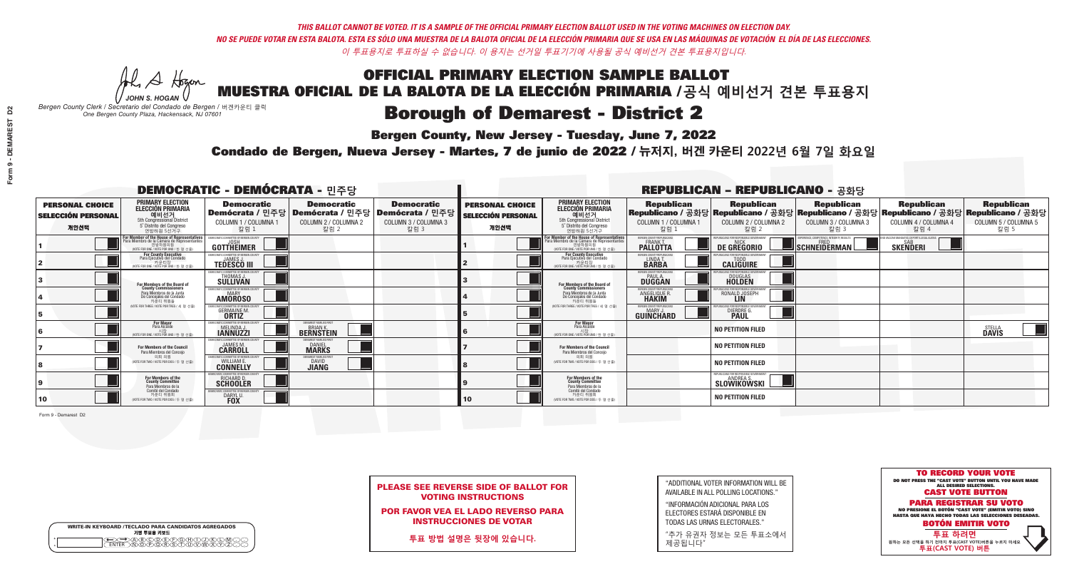A Hogan *JOHN S. HOGAN*

| <b>WRITE-IN KEYBOARD /TECLADO PARA CANDIDATOS AGREGADOS</b><br>기명 투표용 키보드 |  |
|---------------------------------------------------------------------------|--|
| DA/B/C/D/E/F/G/H/T<br>ኻ <u>ዀ</u> ፝፝፝፝ዀ፝ዀ፝                                 |  |

## OFFICIAL PRIMARY ELECTION SAMPLE BALLOT MUESTRA OFICIAL DE LA BALOTA DE LA ELECCIÓN PRIMARIA /**공식 예비선거 견본 투표용지**

### **Borough of Demarest - District 2**

**Bergen County, New Jersey - Tuesday, June 7, 2022** 

*Bergen County Clerk / Secretario del Condado de Bergen /* 버겐카운티 클럭 *One Bergen County Plaza, Hackensack, NJ 07601*



PLEASE SEE REVERSE SIDE OF BALLOT FOR VOTING INSTRUCTIONS

POR FAVOR VEA EL LADO REVERSO PARA INSTRUCCIONES DE VOTAR

**투표 방법 설명은 뒷장에 있습니다.**

"ADDITIONAL VOTER INFORMATION WILL BE AVAILABLE IN ALL POLLING LOCATIONS."

"INFORMACIÓN ADICIONAL PARA LOS ELECTORES ESTARÁ DISPONIBLE EN TODAS LAS URNAS ELECTORALES."

"추가 유권자 정보는 모든 투표소에서 제공됩니다"

Condado de Bergen, Nueva Jersey - Martes, 7 de junio de 2022 / 뉴저지, 버겐 카운티 2022년 6월 7일 화요일 *One Bergen County Plaza, Hackensack, NJ 07601*

Form 9 - Demarest D2

| <b>DEMOCRATIC - DEMÓCRATA - 민주당</b>                         |                                                                                                                                               |                                                              |                                                                                        |                                                                      | <b>REPUBLICAN - REPUBLICANO - 공화당</b>                       |                                                                                                                                             |                                                           |                                                       |                                                                                                                                                  |                                                   |                                                   |
|-------------------------------------------------------------|-----------------------------------------------------------------------------------------------------------------------------------------------|--------------------------------------------------------------|----------------------------------------------------------------------------------------|----------------------------------------------------------------------|-------------------------------------------------------------|---------------------------------------------------------------------------------------------------------------------------------------------|-----------------------------------------------------------|-------------------------------------------------------|--------------------------------------------------------------------------------------------------------------------------------------------------|---------------------------------------------------|---------------------------------------------------|
| <b>PERSONAL CHOICE</b><br><b>SELECCIÓN PERSONAL</b><br>개인선택 | <b>PRIMARY ELECTION</b><br>ELECCIÓN PRIMARIA<br>예비선거<br><sub>5th Congressional District</sub><br>5° Distrito del Congreso<br>연방하원 5선거구        | <b>Democratic</b><br>COLUMN 1 / COLUMNA 1<br>칼럼 1            | <b>Democratic</b><br>Demócrata / 민주당   Demócrata / 민주당<br>COLUMN 2 / COLUMNA 2<br>칼럼 2 | <b>Democratic</b><br>Demócrata / 민주당<br>COLUMN 3 / COLUMNA 3<br>칼럼 3 | <b>PERSONAL CHOICE</b><br><b>SELECCIÓN PERSONAL</b><br>개인선택 | <b>PRIMARY ELECTION</b><br><b>ELECCIÓN PRIMARIA</b><br>예비선거<br>5th Congressional District<br>5° Distrito del Congreso<br>연방하원 5선거구          | <b>Republican</b><br>COLUMN 1 / COLUMNA 1<br>칼럼 1         | <b>Republican</b><br>COLUMN 2 / COLUMNA 2<br>칼럼 2     | <b>Republican</b><br> Republicano / 공화당 Republicano / 공화당 Republicano / 공화당 Republicano / 공화당 Republicano / 공화당 <br>COLUMN 3 / COLUMNA 3<br>칼럼 3 | <b>Republican</b><br>COLUMN 4 / COLUMNA 4<br>칼럼 4 | <b>Republican</b><br>COLUMN 5 / COLUMNA 5<br>칼럼 5 |
|                                                             | For Member of the House of Representatives<br>Para Miembro de la Cámara de Representantes<br>연방하원의원<br>(VOTE FOR ONE / VOTE POR UNO / 한 명 선출) | EMOCRATIC COMMITTEE OF BERGEN COUNT<br><b>GOTTHEIMER</b>     |                                                                                        |                                                                      |                                                             | For Member of the House of Representatives<br>Para Miembro de la Cámara de Representantes<br>연방하원의원<br>(VOTE FOR ONE / VOTE POR UNO / 한 명 선 | ERGEN COUNTY REPUBLICANS<br><b>PALLOTTA</b>               | DE GREGORIO                                           | <b>ERIENCE, COMPETENCE, INTEGRITY, RESULTS</b><br>SCHNEIDERMAN                                                                                   | <b>SKENDERI</b>                                   |                                                   |
|                                                             | <b>For County Executive</b><br>Para Ejecutivo del Condado<br>WOTE FOR ONE / VOTE POR UNO / 한 명 선출)                                            | EMOCRATIC COMMITTEE OF BERGEN COUNTY<br><b>TEDESCO III</b>   |                                                                                        |                                                                      |                                                             | For County Executive<br>Para Ejecutivo del Condado<br>WOTE FOR ONE / VOTE POR UNO / 한 명 선출                                                  | BERGEN COUNTY REPUBLICA!<br>LINDAT.                       | <b>CALIGUIRE</b>                                      |                                                                                                                                                  |                                                   |                                                   |
|                                                             | For Members of the Board of<br>County Commissioners                                                                                           | MOCRATIC COMMITTEE OF BERGEN O<br>THOMAS J.                  |                                                                                        |                                                                      |                                                             | For Members of the Board of<br>County Commissioners                                                                                         | ERGEN COUNTY REPUBLICAN<br><b>PAUL A</b><br><b>DUGGAN</b> | <b>DOUGLAS</b>                                        |                                                                                                                                                  |                                                   |                                                   |
|                                                             | Para Miembros de la Junta<br>De Concejales del Condado<br>카운티 위원들                                                                             | MOCRATIC COMMITTEE OF BERGEN COUNT<br><b>AMOROSO</b>         |                                                                                        |                                                                      |                                                             | Para Miembros de la Junta<br>De Conceiales del Condado<br>카운티 위원들                                                                           | <b>RGEN COUNTY REPUBLICAN</b><br>ANGELIQUE R.             | RONALD JOSEPH<br><b>LIN</b>                           |                                                                                                                                                  |                                                   |                                                   |
|                                                             | (VOTE FOR THREE / VOTE POR TRES / 세 명 선출)                                                                                                     | <b>GERMAINE M.</b><br><b>ORTIZ</b>                           |                                                                                        |                                                                      |                                                             | NOTE FOR THREE / VOTE POR TRES / 세 명 선출                                                                                                     | <b>RGEN COUNTY REPUBLICANS</b><br><b>GUINCHARD</b>        | DIERDRE G.                                            |                                                                                                                                                  |                                                   |                                                   |
|                                                             | <b>For Mayor</b><br>Para Alcalde<br>NOTE FOR ONE / VOTE POR UNO / 한 명 선출                                                                      | MOCRATIC COMMITTEE OF BERGEN (<br>MELINDA J.                 | EMAREST FAMILIES FIRST<br><b>BRIAN K.</b><br><b>BERNSTEIN</b>                          |                                                                      |                                                             | For Mayor<br>Para Alcalde                                                                                                                   |                                                           | <b>NO PETITION FILED</b>                              |                                                                                                                                                  |                                                   | STELLA<br><b>Davis</b>                            |
|                                                             | <b>For Members of the Council</b><br>Para Miembros del Conceio                                                                                | <i>A</i> OCRATIC COMMITTEE OF BERGEN COUN'<br><b>CARROLL</b> | <b>DANIEL</b><br><b>MARKS</b>                                                          |                                                                      |                                                             | For Members of the Council<br>Para Miembros del Conceio                                                                                     |                                                           | <b>NO PETITION FILED</b>                              |                                                                                                                                                  |                                                   |                                                   |
|                                                             | 의회 의원<br>(VOTE FOR TWO / VOTE POR DOS / 두 명 선출)                                                                                               | <b>CONNELLY</b>                                              | <b>DAVID</b><br><b>JIANG</b>                                                           |                                                                      |                                                             | 의회 의원<br>VOTE FOR TWO / VOTE POR DOS / 두 명 선출)                                                                                              |                                                           | <b>NO PETITION FILED</b>                              |                                                                                                                                                  |                                                   |                                                   |
|                                                             | For Members of the<br>County Committee<br>Para Miembros de la                                                                                 | <b>SCHOOLER</b>                                              |                                                                                        |                                                                      |                                                             | For Members of the<br>County Committee<br>Para Miembros de la<br>Comité del Condado                                                         |                                                           | REPUBLICANS FOR RESPONSIBLE GOVERNMENT<br>SLOWIKOWSKI |                                                                                                                                                  |                                                   |                                                   |
| 10                                                          | Comité del Condado<br>카운티 위원회<br>(VOTE FOR TWO / VOTE POR DOS / 두 명 선출)                                                                       | <b>EMOCRATIC COMMITTEE OF BERGEN COUNTY</b><br>DARYL U       |                                                                                        |                                                                      | 10                                                          | 카운티 위원회<br>(VOTE FOR TWO / VOTE POR DOS / 두 명 선출)                                                                                           |                                                           | NO PETITION FILED                                     |                                                                                                                                                  |                                                   |                                                   |